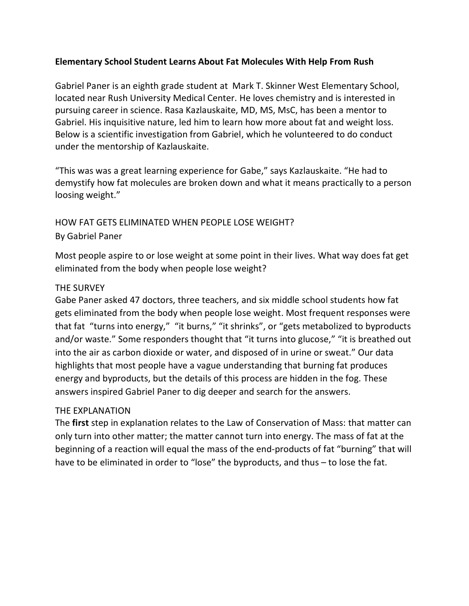### **Elementary School Student Learns About Fat Molecules With Help From Rush**

Gabriel Paner is an eighth grade student at Mark T. Skinner West Elementary School, located near Rush University Medical Center. He loves chemistry and is interested in pursuing career in science. Rasa Kazlauskaite, MD, MS, MsC, has been a mentor to Gabriel. His inquisitive nature, led him to learn how more about fat and weight loss. Below is a scientific investigation from Gabriel, which he volunteered to do conduct under the mentorship of Kazlauskaite.

"This was was a great learning experience for Gabe," says Kazlauskaite. "He had to demystify how fat molecules are broken down and what it means practically to a person loosing weight."

# HOW FAT GETS ELIMINATED WHEN PEOPLE LOSE WEIGHT? By Gabriel Paner

Most people aspire to or lose weight at some point in their lives. What way does fat get eliminated from the body when people lose weight?

#### THE SURVEY

Gabe Paner asked 47 doctors, three teachers, and six middle school students how fat gets eliminated from the body when people lose weight. Most frequent responses were that fat "turns into energy," "it burns," "it shrinks", or "gets metabolized to byproducts and/or waste." Some responders thought that "it turns into glucose," "it is breathed out into the air as carbon dioxide or water, and disposed of in urine or sweat." Our data highlights that most people have a vague understanding that burning fat produces energy and byproducts, but the details of this process are hidden in the fog. These answers inspired Gabriel Paner to dig deeper and search for the answers.

#### THE EXPLANATION

The **first** step in explanation relates to the Law of Conservation of Mass: that matter can only turn into other matter; the matter cannot turn into energy. The mass of fat at the beginning of a reaction will equal the mass of the end-products of fat "burning" that will have to be eliminated in order to "lose" the byproducts, and thus – to lose the fat.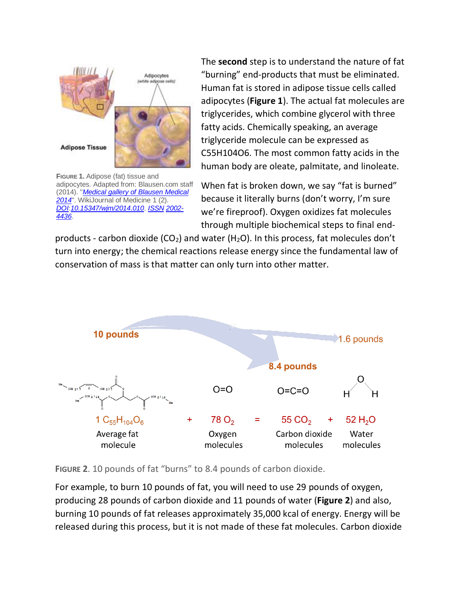

**FIGURE 1.** Adipose (fat) tissue and adipocytes. Adapted from: Blausen.com staff (2014). "*[Medical gallery of Blausen Medical](https://en.wikiversity.org/wiki/WikiJournal_of_Medicine/Medical_gallery_of_Blausen_Medical_2014)  [2014](https://en.wikiversity.org/wiki/WikiJournal_of_Medicine/Medical_gallery_of_Blausen_Medical_2014)*". WikiJournal of Medicine 1 (2). *[DOI](https://en.wikipedia.org/wiki/Digital_object_identifier)*:*[10.15347/wjm/2014.010](https://doi.org/10.15347/wjm/2014.010)*. *[ISSN](https://en.wikipedia.org/wiki/International_Standard_Serial_Number) [2002-](https://www.worldcat.org/issn/2002-4436) [4436](https://www.worldcat.org/issn/2002-4436)*.

The **second** step is to understand the nature of fat "burning" end-products that must be eliminated. Human fat is stored in adipose tissue cells called adipocytes (**Figure 1**). The actual fat molecules are triglycerides, which combine glycerol with three fatty acids. Chemically speaking, an average triglyceride molecule can be expressed as C55H104O6. The most common fatty acids in the human body are oleate, palmitate, and linoleate.

When fat is broken down, we say "fat is burned" because it literally burns (don't worry, I'm sure we're fireproof). Oxygen oxidizes fat molecules through multiple biochemical steps to final end-

products - carbon dioxide (CO<sub>2</sub>) and water (H<sub>2</sub>O). In this process, fat molecules don't turn into energy; the chemical reactions release energy since the fundamental law of conservation of mass is that matter can only turn into other matter.



**FIGURE 2**. 10 pounds of fat "burns" to 8.4 pounds of carbon dioxide.

For example, to burn 10 pounds of fat, you will need to use 29 pounds of oxygen, producing 28 pounds of carbon dioxide and 11 pounds of water (**Figure 2**) and also, burning 10 pounds of fat releases approximately 35,000 kcal of energy. Energy will be released during this process, but it is not made of these fat molecules. Carbon dioxide